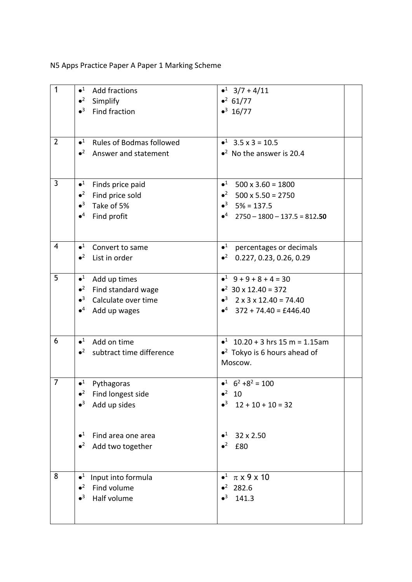N5 Apps Practice Paper A Paper 1 Marking Scheme

| $\mathbf{1}$   | $\bullet^1$<br><b>Add fractions</b>            | $\bullet^1$ 3/7 + 4/11                            |
|----------------|------------------------------------------------|---------------------------------------------------|
|                | $\bullet^2$<br>Simplify                        | $\bullet^2$ 61/77                                 |
|                | $\bullet^3$<br>Find fraction                   | $\bullet^3$ 16/77                                 |
|                |                                                |                                                   |
|                |                                                |                                                   |
| $\overline{2}$ | $\bullet^1$<br><b>Rules of Bodmas followed</b> | $\bullet^1$ 3.5 x 3 = 10.5                        |
|                | $\bullet^2$ Answer and statement               | $\bullet^2$ No the answer is 20.4                 |
|                |                                                |                                                   |
|                |                                                |                                                   |
| $\mathbf{3}$   | $\bullet^1$<br>Finds price paid                | $\bullet^1$<br>$500 \times 3.60 = 1800$           |
|                | $\bullet^2$<br>Find price sold                 | • $^2$ 500 x 5.50 = 2750                          |
|                | $\bullet^3$<br>Take of 5%                      | $•3$ 5% = 137.5                                   |
|                | $\bullet^4$<br>Find profit                     | $\bullet^4$ 2750 - 1800 - 137.5 = 812.50          |
|                |                                                |                                                   |
| 4              | $\bullet^1$<br>Convert to same                 | $\bullet^1$<br>percentages or decimals            |
|                | $\bullet^2$<br>List in order                   | $\bullet^2$<br>0.227, 0.23, 0.26, 0.29            |
|                |                                                |                                                   |
| 5              | $\bullet^1$<br>Add up times                    | $-1$ 9 + 9 + 8 + 4 = 30                           |
|                | $\bullet^2$<br>Find standard wage              | $\bullet^2$ 30 x 12.40 = 372                      |
|                | $\bullet^3$<br>Calculate over time             | $\bullet^3$ 2 x 3 x 12.40 = 74.40                 |
|                | $\bullet^4$<br>Add up wages                    | $\bullet^4$ 372 + 74.40 = £446.40                 |
|                |                                                |                                                   |
| 6              |                                                |                                                   |
|                | $\bullet^1$<br>Add on time                     | $\bullet^1$ 10.20 + 3 hrs 15 m = 1.15am           |
|                | $\bullet^2$ subtract time difference           | $\bullet^2$ Tokyo is 6 hours ahead of             |
|                |                                                | Moscow.                                           |
| $\overline{7}$ | $\bullet^1$<br>Pythagoras                      | $\bullet^1$ 6 <sup>2</sup> + 8 <sup>2</sup> = 100 |
|                | $\bullet^2$<br>Find longest side               | $\bullet^2$ 10                                    |
|                | $\bullet^3$<br>Add up sides                    | $\bullet^3$ 12 + 10 + 10 = 32                     |
|                |                                                |                                                   |
|                |                                                |                                                   |
|                | $\bullet^1$<br>Find area one area              | $\bullet^1$<br>32 x 2.50                          |
|                | $\bullet^2$<br>Add two together                | $\bullet^2$<br>£80                                |
|                |                                                |                                                   |
| 8              | $\bullet^1$<br>Input into formula              | $\bullet^1$<br>$\pi$ x 9 x 10                     |
|                | $\bullet^2$<br>Find volume                     | $•2$ 282.6                                        |
|                | $\bullet^3$<br>Half volume                     | $\bullet^3$<br>141.3                              |
|                |                                                |                                                   |
|                |                                                |                                                   |